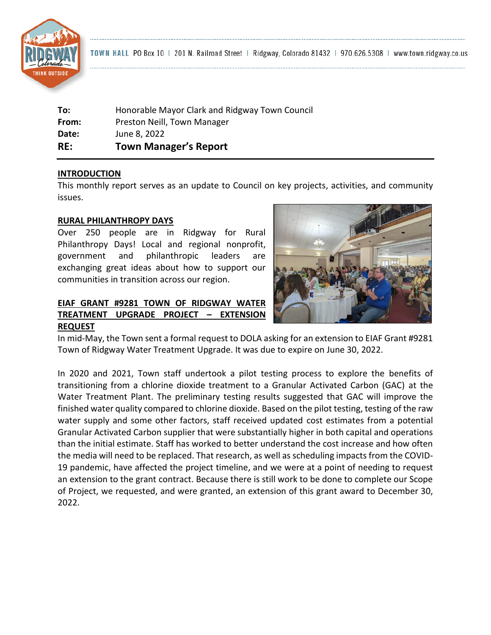

TOWN HALL PO Box 10 | 201 N. Railroad Street | Ridgway, Colorado 81432 | 970.626.5308 | www.town.ridgway.co.us

| RE:   | <b>Town Manager's Report</b>                   |
|-------|------------------------------------------------|
| Date: | June 8, 2022                                   |
| From: | Preston Neill, Town Manager                    |
| To:   | Honorable Mayor Clark and Ridgway Town Council |

#### **INTRODUCTION**

This monthly report serves as an update to Council on key projects, activities, and community issues.

#### **RURAL PHILANTHROPY DAYS**

Over 250 people are in Ridgway for Rural Philanthropy Days! Local and regional nonprofit, government and philanthropic leaders are exchanging great ideas about how to support our communities in transition across our region.

# **EIAF GRANT #9281 TOWN OF RIDGWAY WATER TREATMENT UPGRADE PROJECT – EXTENSION REQUEST**



In mid-May, the Town sent a formal request to DOLA asking for an extension to EIAF Grant #9281 Town of Ridgway Water Treatment Upgrade. It was due to expire on June 30, 2022.

In 2020 and 2021, Town staff undertook a pilot testing process to explore the benefits of transitioning from a chlorine dioxide treatment to a Granular Activated Carbon (GAC) at the Water Treatment Plant. The preliminary testing results suggested that GAC will improve the finished water quality compared to chlorine dioxide. Based on the pilot testing, testing of the raw water supply and some other factors, staff received updated cost estimates from a potential Granular Activated Carbon supplier that were substantially higher in both capital and operations than the initial estimate. Staff has worked to better understand the cost increase and how often the media will need to be replaced. That research, as well as scheduling impacts from the COVID-19 pandemic, have affected the project timeline, and we were at a point of needing to request an extension to the grant contract. Because there is still work to be done to complete our Scope of Project, we requested, and were granted, an extension of this grant award to December 30, 2022.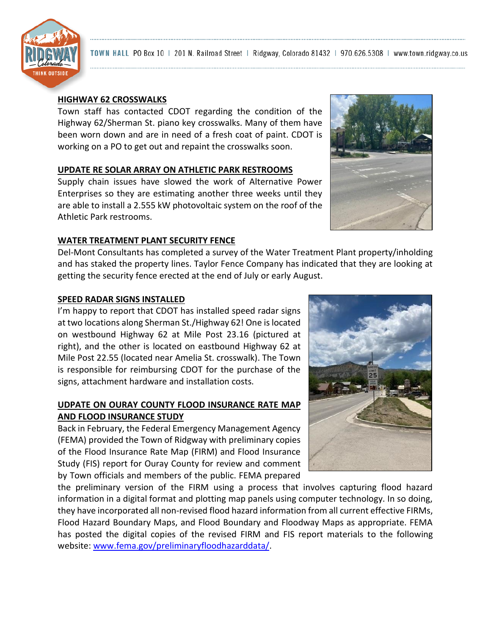

# **HIGHWAY 62 CROSSWALKS**

Town staff has contacted CDOT regarding the condition of the Highway 62/Sherman St. piano key crosswalks. Many of them have been worn down and are in need of a fresh coat of paint. CDOT is working on a PO to get out and repaint the crosswalks soon.

## **UPDATE RE SOLAR ARRAY ON ATHLETIC PARK RESTROOMS**

Supply chain issues have slowed the work of Alternative Power Enterprises so they are estimating another three weeks until they are able to install a 2.555 kW photovoltaic system on the roof of the Athletic Park restrooms.

# **WATER TREATMENT PLANT SECURITY FENCE**

Del-Mont Consultants has completed a survey of the Water Treatment Plant property/inholding and has staked the property lines. Taylor Fence Company has indicated that they are looking at getting the security fence erected at the end of July or early August.

# **SPEED RADAR SIGNS INSTALLED**

I'm happy to report that CDOT has installed speed radar signs at two locations along Sherman St./Highway 62! One is located on westbound Highway 62 at Mile Post 23.16 (pictured at right), and the other is located on eastbound Highway 62 at Mile Post 22.55 (located near Amelia St. crosswalk). The Town is responsible for reimbursing CDOT for the purchase of the signs, attachment hardware and installation costs.

## **UDPATE ON OURAY COUNTY FLOOD INSURANCE RATE MAP AND FLOOD INSURANCE STUDY**

Back in February, the Federal Emergency Management Agency (FEMA) provided the Town of Ridgway with preliminary copies of the Flood Insurance Rate Map (FIRM) and Flood Insurance Study (FIS) report for Ouray County for review and comment by Town officials and members of the public. FEMA prepared

the preliminary version of the FIRM using a process that involves capturing flood hazard information in a digital format and plotting map panels using computer technology. In so doing, they have incorporated all non-revised flood hazard information from all current effective FIRMs, Flood Hazard Boundary Maps, and Flood Boundary and Floodway Maps as appropriate. FEMA has posted the digital copies of the revised FIRM and FIS report materials to the following website: [www.fema.gov/preliminaryfloodhazarddata/.](http://www.fema.gov/preliminaryfloodhazarddata/)



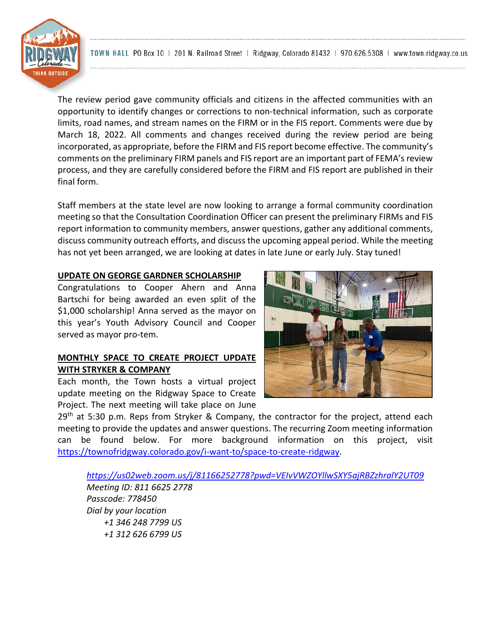TOWN HALL PO Box 10 | 201 N. Railroad Street | Ridgway, Colorado 81432 | 970.626.5308 | www.town.ridgway.co.us

The review period gave community officials and citizens in the affected communities with an opportunity to identify changes or corrections to non-technical information, such as corporate limits, road names, and stream names on the FIRM or in the FIS report. Comments were due by March 18, 2022. All comments and changes received during the review period are being incorporated, as appropriate, before the FIRM and FIS report become effective. The community's comments on the preliminary FIRM panels and FIS report are an important part of FEMA's review process, and they are carefully considered before the FIRM and FIS report are published in their final form.

Staff members at the state level are now looking to arrange a formal community coordination meeting so that the Consultation Coordination Officer can present the preliminary FIRMs and FIS report information to community members, answer questions, gather any additional comments, discuss community outreach efforts, and discuss the upcoming appeal period. While the meeting has not yet been arranged, we are looking at dates in late June or early July. Stay tuned!

#### **UPDATE ON GEORGE GARDNER SCHOLARSHIP**

Congratulations to Cooper Ahern and Anna Bartschi for being awarded an even split of the \$1,000 scholarship! Anna served as the mayor on this year's Youth Advisory Council and Cooper served as mayor pro-tem.

# **MONTHLY SPACE TO CREATE PROJECT UPDATE WITH STRYKER & COMPANY**

Each month, the Town hosts a virtual project update meeting on the Ridgway Space to Create Project. The next meeting will take place on June

29<sup>th</sup> at 5:30 p.m. Reps from Stryker & Company, the contractor for the project, attend each meeting to provide the updates and answer questions. The recurring Zoom meeting information can be found below. For more background information on this project, visit [https://townofridgway.colorado.gov/i-want-to/space-to-create-ridgway.](https://townofridgway.colorado.gov/i-want-to/space-to-create-ridgway)

*<https://us02web.zoom.us/j/81166252778?pwd=VEIvVWZOYllwSXY5ajRBZzhralY2UT09> Meeting ID: 811 6625 2778 Passcode: 778450 Dial by your location +1 346 248 7799 US +1 312 626 6799 US*



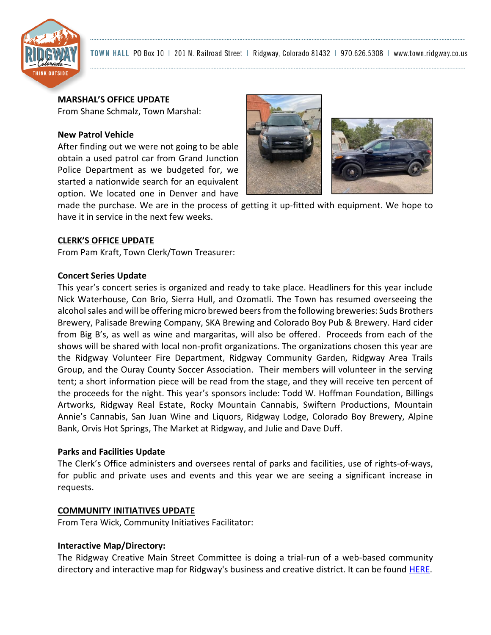

TOWN HALL PO Box 10 | 201 N. Railroad Street | Ridgway, Colorado 81432 | 970.626.5308 | www.town.ridgway.co.us

#### **MARSHAL'S OFFICE UPDATE**

From Shane Schmalz, Town Marshal:

### **New Patrol Vehicle**

After finding out we were not going to be able obtain a used patrol car from Grand Junction Police Department as we budgeted for, we started a nationwide search for an equivalent option. We located one in Denver and have



made the purchase. We are in the process of getting it up-fitted with equipment. We hope to have it in service in the next few weeks.

## **CLERK'S OFFICE UPDATE**

From Pam Kraft, Town Clerk/Town Treasurer:

#### **Concert Series Update**

This year's concert series is organized and ready to take place. Headliners for this year include Nick Waterhouse, Con Brio, Sierra Hull, and Ozomatli. The Town has resumed overseeing the alcohol sales and will be offering micro brewed beers from the following breweries: Suds Brothers Brewery, Palisade Brewing Company, SKA Brewing and Colorado Boy Pub & Brewery. Hard cider from Big B's, as well as wine and margaritas, will also be offered. Proceeds from each of the shows will be shared with local non-profit organizations. The organizations chosen this year are the Ridgway Volunteer Fire Department, Ridgway Community Garden, Ridgway Area Trails Group, and the Ouray County Soccer Association. Their members will volunteer in the serving tent; a short information piece will be read from the stage, and they will receive ten percent of the proceeds for the night. This year's sponsors include: Todd W. Hoffman Foundation, Billings Artworks, Ridgway Real Estate, Rocky Mountain Cannabis, Swiftern Productions, Mountain Annie's Cannabis, San Juan Wine and Liquors, Ridgway Lodge, Colorado Boy Brewery, Alpine Bank, Orvis Hot Springs, The Market at Ridgway, and Julie and Dave Duff.

## **Parks and Facilities Update**

The Clerk's Office administers and oversees rental of parks and facilities, use of rights-of-ways, for public and private uses and events and this year we are seeing a significant increase in requests.

#### **COMMUNITY INITIATIVES UPDATE**

From Tera Wick, Community Initiatives Facilitator:

## **Interactive Map/Directory:**

The Ridgway Creative Main Street Committee is doing a trial-run of a web-based community directory and interactive map for Ridgway's business and creative district. It can be found [HERE.](https://app.membershipware.com/townofridgwaycom/explore?&def1=catAll)